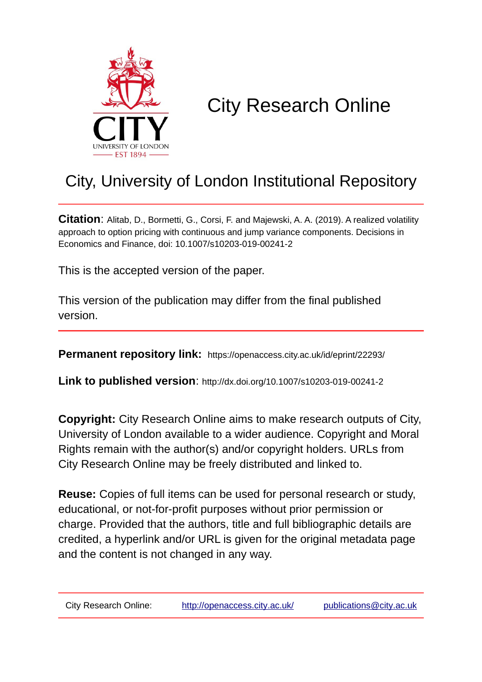

# City Research Online

## City, University of London Institutional Repository

**Citation**: Alitab, D., Bormetti, G., Corsi, F. and Majewski, A. A. (2019). A realized volatility approach to option pricing with continuous and jump variance components. Decisions in Economics and Finance, doi: 10.1007/s10203-019-00241-2

This is the accepted version of the paper.

This version of the publication may differ from the final published version.

**Permanent repository link:** https://openaccess.city.ac.uk/id/eprint/22293/

**Link to published version**: http://dx.doi.org/10.1007/s10203-019-00241-2

**Copyright:** City Research Online aims to make research outputs of City, University of London available to a wider audience. Copyright and Moral Rights remain with the author(s) and/or copyright holders. URLs from City Research Online may be freely distributed and linked to.

**Reuse:** Copies of full items can be used for personal research or study, educational, or not-for-profit purposes without prior permission or charge. Provided that the authors, title and full bibliographic details are credited, a hyperlink and/or URL is given for the original metadata page and the content is not changed in any way.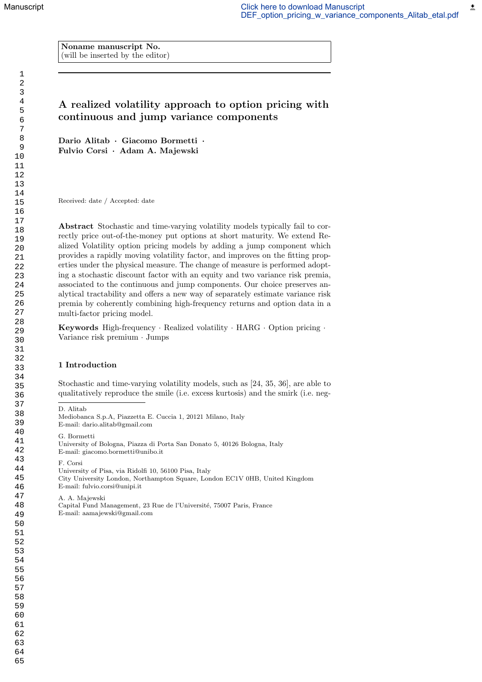$\pmb{\underline{\star}}$ 

Noname manuscript No. (will be inserted by the editor)

### A realized volatility approach to option pricing with continuous and jump variance components

Dario Alitab · Giacomo Bormetti · Fulvio Corsi · Adam A. Majewski

Received: date / Accepted: date

Abstract Stochastic and time-varying volatility models typically fail to correctly price out-of-the-money put options at short maturity. We extend Realized Volatility option pricing models by adding a jump component which provides a rapidly moving volatility factor, and improves on the fitting properties under the physical measure. The change of measure is performed adopting a stochastic discount factor with an equity and two variance risk premia, associated to the continuous and jump components. Our choice preserves analytical tractability and offers a new way of separately estimate variance risk premia by coherently combining high-frequency returns and option data in a multi-factor pricing model.

Keywords High-frequency · Realized volatility · HARG · Option pricing · Variance risk premium · Jumps

#### 1 Introduction

D. Alitab

Stochastic and time-varying volatility models, such as [24, 35, 36], are able to qualitatively reproduce the smile (i.e. excess kurtosis) and the smirk (i.e. neg-

Mediobanca S.p.A, Piazzetta E. Cuccia 1, 20121 Milano, Italy E-mail: dario.alitab@gmail.com G. Bormetti University of Bologna, Piazza di Porta San Donato 5, 40126 Bologna, Italy E-mail: giacomo.bormetti@unibo.it F. Corsi University of Pisa, via Ridolfi 10, 56100 Pisa, Italy City University London, Northampton Square, London EC1V 0HB, United Kingdom E-mail: fulvio.corsi@unipi.it

A. A. Majewski Capital Fund Management, 23 Rue de l'Université, 75007 Paris, France E-mail: aamajewski@gmail.com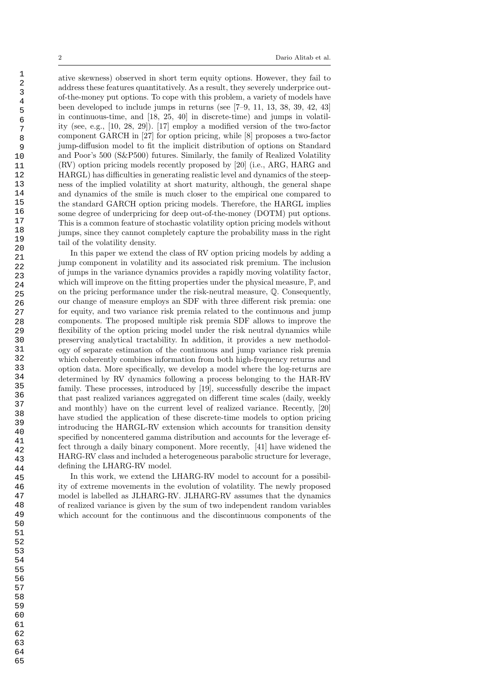ative skewness) observed in short term equity options. However, they fail to address these features quantitatively. As a result, they severely underprice outof-the-money put options. To cope with this problem, a variety of models have been developed to include jumps in returns (see [7–9, 11, 13, 38, 39, 42, 43] in continuous-time, and [18, 25, 40] in discrete-time) and jumps in volatility (see, e.g., [10, 28, 29]). [17] employ a modified version of the two-factor component GARCH in [27] for option pricing, while [8] proposes a two-factor jump-diffusion model to fit the implicit distribution of options on Standard and Poor's 500 (S&P500) futures. Similarly, the family of Realized Volatility (RV) option pricing models recently proposed by [20] (i.e., ARG, HARG and HARGL) has difficulties in generating realistic level and dynamics of the steepness of the implied volatility at short maturity, although, the general shape and dynamics of the smile is much closer to the empirical one compared to the standard GARCH option pricing models. Therefore, the HARGL implies some degree of underpricing for deep out-of-the-money (DOTM) put options. This is a common feature of stochastic volatility option pricing models without jumps, since they cannot completely capture the probability mass in the right tail of the volatility density.

In this paper we extend the class of RV option pricing models by adding a jump component in volatility and its associated risk premium. The inclusion of jumps in the variance dynamics provides a rapidly moving volatility factor, which will improve on the fitting properties under the physical measure,  $\mathbb{P}$ , and on the pricing performance under the risk-neutral measure, Q. Consequently, our change of measure employs an SDF with three different risk premia: one for equity, and two variance risk premia related to the continuous and jump components. The proposed multiple risk premia SDF allows to improve the flexibility of the option pricing model under the risk neutral dynamics while preserving analytical tractability. In addition, it provides a new methodology of separate estimation of the continuous and jump variance risk premia which coherently combines information from both high-frequency returns and option data. More specifically, we develop a model where the log-returns are determined by RV dynamics following a process belonging to the HAR-RV family. These processes, introduced by [19], successfully describe the impact that past realized variances aggregated on different time scales (daily, weekly and monthly) have on the current level of realized variance. Recently, [20] have studied the application of these discrete-time models to option pricing introducing the HARGL-RV extension which accounts for transition density specified by noncentered gamma distribution and accounts for the leverage effect through a daily binary component. More recently, [41] have widened the HARG-RV class and included a heterogeneous parabolic structure for leverage, defining the LHARG-RV model.

In this work, we extend the LHARG-RV model to account for a possibility of extreme movements in the evolution of volatility. The newly proposed model is labelled as JLHARG-RV. JLHARG-RV assumes that the dynamics of realized variance is given by the sum of two independent random variables which account for the continuous and the discontinuous components of the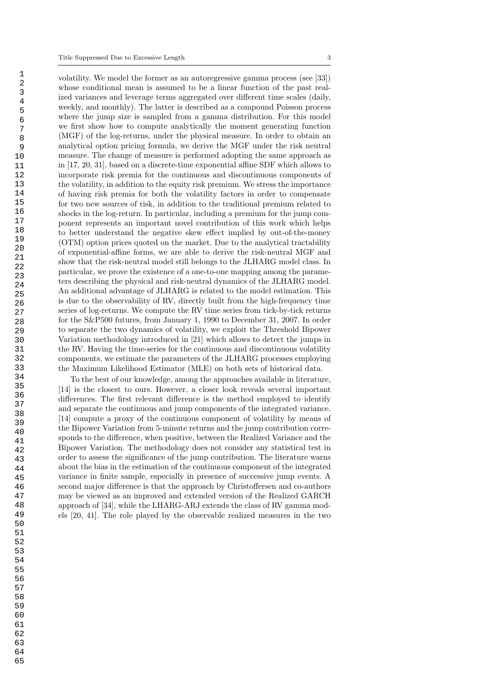volatility. We model the former as an autoregressive gamma process (see [33]) whose conditional mean is assumed to be a linear function of the past realized variances and leverage terms aggregated over different time scales (daily, weekly, and monthly). The latter is described as a compound Poisson process where the jump size is sampled from a gamma distribution. For this model we first show how to compute analytically the moment generating function (MGF) of the log-returns, under the physical measure. In order to obtain an analytical option pricing formula, we derive the MGF under the risk neutral measure. The change of measure is performed adopting the same approach as in [17, 20, 31], based on a discrete-time exponential affine SDF which allows to incorporate risk premia for the continuous and discontinuous components of the volatility, in addition to the equity risk premium. We stress the importance of having risk premia for both the volatility factors in order to compensate for two new sources of risk, in addition to the traditional premium related to shocks in the log-return. In particular, including a premium for the jump component represents an important novel contribution of this work which helps to better understand the negative skew effect implied by out-of-the-money (OTM) option prices quoted on the market. Due to the analytical tractability of exponential-affine forms, we are able to derive the risk-neutral MGF and show that the risk-neutral model still belongs to the JLHARG model class. In particular, we prove the existence of a one-to-one mapping among the parameters describing the physical and risk-neutral dynamics of the JLHARG model. An additional advantage of JLHARG is related to the model estimation. This is due to the observability of RV, directly built from the high-frequency time series of log-returns. We compute the RV time series from tick-by-tick returns for the S&P500 futures, from January 1, 1990 to December 31, 2007. In order to separate the two dynamics of volatility, we exploit the Threshold Bipower Variation methodology introduced in [21] which allows to detect the jumps in the RV. Having the time-series for the continuous and discontinuous volatility components, we estimate the parameters of the JLHARG processes employing the Maximum Likelihood Estimator (MLE) on both sets of historical data.

To the best of our knowledge, among the approaches available in literature, [14] is the closest to ours. However, a closer look reveals several important differences. The first relevant difference is the method employed to identify and separate the continuous and jump components of the integrated variance. [14] compute a proxy of the continuous component of volatility by means of the Bipower Variation from 5-minute returns and the jump contribution corresponds to the difference, when positive, between the Realized Variance and the Bipower Variation. The methodology does not consider any statistical test in order to assess the significance of the jump contribution. The literature warns about the bias in the estimation of the continuous component of the integrated variance in finite sample, especially in presence of successive jump events. A second major difference is that the approach by Christoffersen and co-authors may be viewed as an improved and extended version of the Realized GARCH approach of [34], while the LHARG-ARJ extends the class of RV gamma models [20, 41]. The role played by the observable realized measures in the two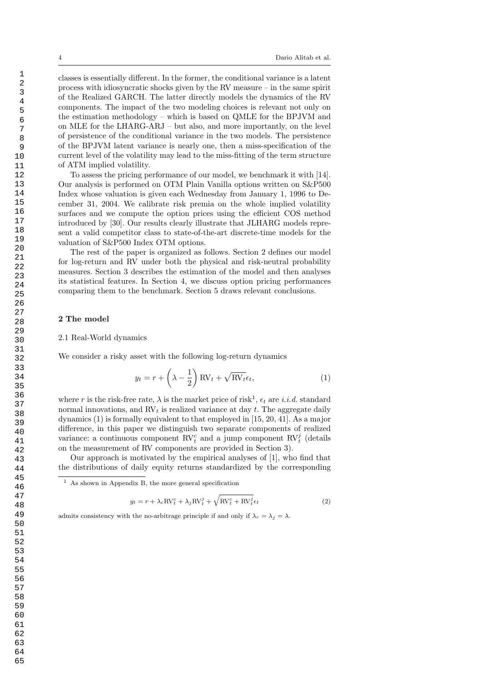classes is essentially different. In the former, the conditional variance is a latent process with idiosyncratic shocks given by the RV measure – in the same spirit of the Realized GARCH. The latter directly models the dynamics of the RV components. The impact of the two modeling choices is relevant not only on the estimation methodology – which is based on QMLE for the BPJVM and on MLE for the LHARG-ARJ – but also, and more importantly, on the level of persistence of the conditional variance in the two models. The persistence of the BPJVM latent variance is nearly one, then a miss-specification of the current level of the volatility may lead to the miss-fitting of the term structure of ATM implied volatility.

To assess the pricing performance of our model, we benchmark it with [14]. Our analysis is performed on OTM Plain Vanilla options written on S&P500 Index whose valuation is given each Wednesday from January 1, 1996 to December 31, 2004. We calibrate risk premia on the whole implied volatility surfaces and we compute the option prices using the efficient COS method introduced by [30]. Our results clearly illustrate that JLHARG models represent a valid competitor class to state-of-the-art discrete-time models for the valuation of S&P500 Index OTM options.

The rest of the paper is organized as follows. Section 2 defines our model for log-return and RV under both the physical and risk-neutral probability measures. Section 3 describes the estimation of the model and then analyses its statistical features. In Section 4, we discuss option pricing performances comparing them to the benchmark. Section 5 draws relevant conclusions.

#### 2 The model

#### 2.1 Real-World dynamics

We consider a risky asset with the following log-return dynamics

$$
y_t = r + \left(\lambda - \frac{1}{2}\right) \text{RV}_t + \sqrt{\text{RV}_t} \epsilon_t,
$$
\n(1)

where r is the risk-free rate,  $\lambda$  is the market price of risk<sup>1</sup>,  $\epsilon_t$  are *i.i.d.* standard normal innovations, and  $RV_t$  is realized variance at day t. The aggregate daily dynamics (1) is formally equivalent to that employed in [15, 20, 41]. As a major difference, in this paper we distinguish two separate components of realized variance: a continuous component  $\mathrm{RV}_{t}^{c}$  and a jump component  $\mathrm{RV}_{t}^{j}$  (details on the measurement of RV components are provided in Section 3).

Our approach is motivated by the empirical analyses of [1], who find that the distributions of daily equity returns standardized by the corresponding

$$
y_t = r + \lambda_c \text{RV}_t^c + \lambda_j \text{RV}_t^j + \sqrt{\text{RV}_t^c + \text{RV}_t^j} \epsilon_t
$$
 (2)

admits consistency with the no-arbitrage principle if and only if  $\lambda_c = \lambda_j = \lambda$ .

<sup>1</sup> As shown in Appendix B, the more general specification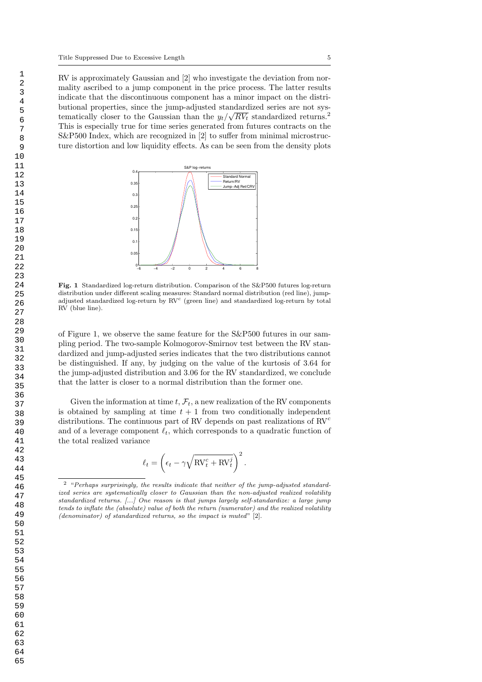RV is approximately Gaussian and [2] who investigate the deviation from normality ascribed to a jump component in the price process. The latter results indicate that the discontinuous component has a minor impact on the distributional properties, since the jump-adjusted standardized series are not systematically closer to the Gaussian than the  $y_t/\sqrt{RV_t}$  standardized returns.<sup>2</sup> This is especially true for time series generated from futures contracts on the S&P500 Index, which are recognized in [2] to suffer from minimal microstructure distortion and low liquidity effects. As can be seen from the density plots



Fig. 1 Standardized log-return distribution. Comparison of the S&P500 futures log-return distribution under different scaling measures: Standard normal distribution (red line), jumpadjusted standardized log-return by RV<sup>c</sup> (green line) and standardized log-return by total RV (blue line).

of Figure 1, we observe the same feature for the S&P500 futures in our sampling period. The two-sample Kolmogorov-Smirnov test between the RV standardized and jump-adjusted series indicates that the two distributions cannot be distinguished. If any, by judging on the value of the kurtosis of 3.64 for the jump-adjusted distribution and 3.06 for the RV standardized, we conclude that the latter is closer to a normal distribution than the former one.

Given the information at time  $t, \mathcal{F}_t$ , a new realization of the RV components is obtained by sampling at time  $t + 1$  from two conditionally independent distributions. The continuous part of RV depends on past realizations of  $\mathrm{RV}^c$ and of a leverage component  $\ell_t$ , which corresponds to a quadratic function of the total realized variance

$$
\ell_t = \left(\epsilon_t - \gamma \sqrt{\text{RV}_t^c + \text{RV}_t^j}\right)^2.
$$

<sup>2</sup> "Perhaps surprisingly, the results indicate that neither of the jump-adjusted standardized series are systematically closer to Gaussian than the non-adjusted realized volatility standardized returns. [...] One reason is that jumps largely self-standardize: a large jump tends to inflate the (absolute) value of both the return (numerator) and the realized volatility (denominator) of standardized returns, so the impact is muted" [2].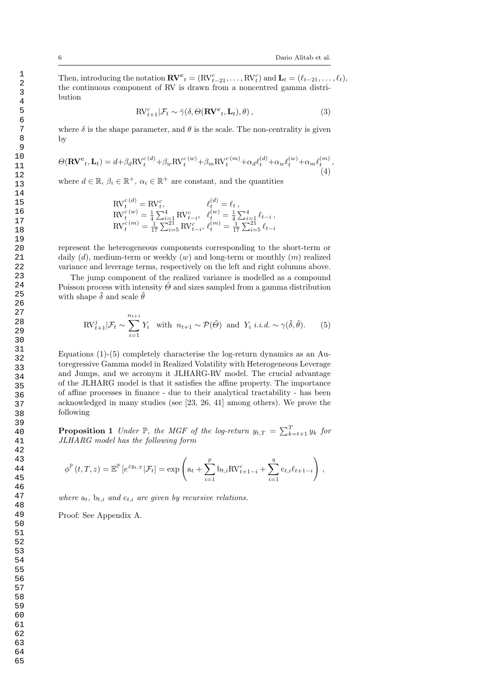Then, introducing the notation  $\mathbf{R} \mathbf{V}^c{}_t = (\mathrm{RV}_{t-21}^c, \ldots, \mathrm{RV}_{t}^c)$  and  $\mathbf{L}_t = (\ell_{t-21}, \ldots, \ell_t)$ , the continuous component of RV is drawn from a noncentred gamma distribution

$$
\mathrm{RV}_{t+1}^c | \mathcal{F}_t \sim \bar{\gamma}(\delta, \Theta(\mathbf{RV}^c, \mathbf{L}_t), \theta), \qquad (3)
$$

where  $\delta$  is the shape parameter, and  $\theta$  is the scale. The non-centrality is given by

$$
\Theta(\mathbf{R}\mathbf{V}^c, \mathbf{L}_t) = d + \beta_d \mathbf{R} \mathbf{V}_t^{c(d)} + \beta_w \mathbf{R} \mathbf{V}_t^{c(w)} + \beta_m \mathbf{R} \mathbf{V}_t^{c(m)} + \alpha_d \ell_t^{(d)} + \alpha_w \ell_t^{(w)} + \alpha_m \ell_t^{(m)},
$$
\n(4)

where  $d \in \mathbb{R}$ ,  $\beta_i \in \mathbb{R}^+$ ,  $\alpha_i \in \mathbb{R}^+$  are constant, and the quantities

$$
\begin{array}{ll}\n\text{RV}_{t}^{c(d)} = \text{RV}_{t}^{c}, & \ell_{t}^{(d)} = \ell_{t} \,, \\
\text{RV}_{t}^{c(w)} = \frac{1}{4} \sum_{i=1}^{4} \text{RV}_{t-i}^{c}, & \ell_{t}^{(w)} = \frac{1}{4} \sum_{i=1}^{4} \ell_{t-i} \,, \\
\text{RV}_{t}^{c(m)} = \frac{1}{17} \sum_{i=5}^{21} \text{RV}_{t-i}^{c}, & \ell_{t}^{(m)} = \frac{1}{17} \sum_{i=5}^{21} \ell_{t-i}\n\end{array}
$$

represent the heterogeneous components corresponding to the short-term or daily  $(d)$ , medium-term or weekly  $(w)$  and long-term or monthly  $(m)$  realized variance and leverage terms, respectively on the left and right columns above.

The jump component of the realized variance is modelled as a compound Poisson process with intensity  $\tilde{\Theta}$  and sizes sampled from a gamma distribution with shape  $\tilde{\delta}$  and scale  $\tilde{\theta}$ 

$$
\text{RV}_{t+1}^j | \mathcal{F}_t \sim \sum_{i=1}^{n_{t+1}} Y_i \quad \text{with } n_{t+1} \sim \mathcal{P}(\tilde{\Theta}) \text{ and } Y_i \ i.i.d. \sim \gamma(\tilde{\delta}, \tilde{\theta}). \tag{5}
$$

Equations (1)-(5) completely characterise the log-return dynamics as an Autoregressive Gamma model in Realized Volatility with Heterogeneous Leverage and Jumps, and we acronym it JLHARG-RV model. The crucial advantage of the JLHARG model is that it satisfies the affine property. The importance of affine processes in finance - due to their analytical tractability - has been acknowledged in many studies (see [23, 26, 41] among others). We prove the following

**Proposition 1** Under  $\mathbb{P}$ , the MGF of the log-return  $y_{t,T} = \sum_{k=t+1}^{T} y_k$  for JLHARG model has the following form

$$
\phi^{\mathbb{P}}(t,T,z) = \mathbb{E}^{\mathbb{P}}[e^{zy_{t,T}}|\mathcal{F}_{t}] = \exp\left(a_{t} + \sum_{i=1}^{p} b_{t,i} \text{RV}_{t+1-i}^{c} + \sum_{i=1}^{q} c_{t,i} \ell_{t+1-i}\right),
$$

where  $a_t$ ,  $b_{t,i}$  and  $c_{t,i}$  are given by recursive relations.

Proof: See Appendix A.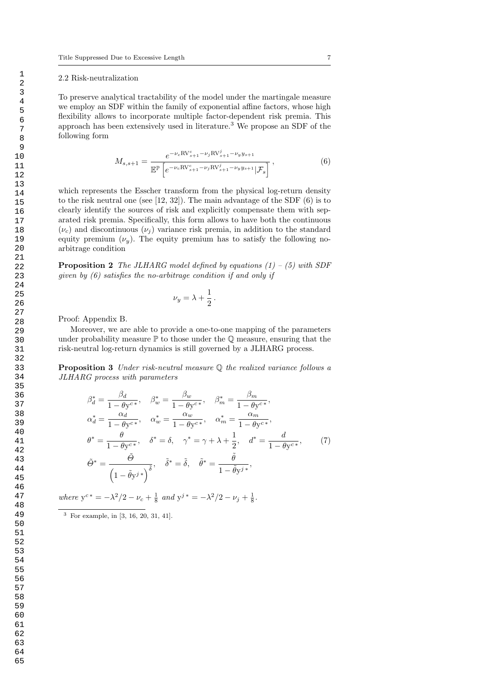#### 2.2 Risk-neutralization

To preserve analytical tractability of the model under the martingale measure we employ an SDF within the family of exponential affine factors, whose high flexibility allows to incorporate multiple factor-dependent risk premia. This approach has been extensively used in literature.<sup>3</sup> We propose an SDF of the following form

$$
M_{s,s+1} = \frac{e^{-\nu_c \text{RV}_{s+1}^c - \nu_j \text{RV}_{s+1}^j - \nu_y y_{s+1}}}{\mathbb{E}^{\mathbb{P}}\left[e^{-\nu_c \text{RV}_{s+1}^c - \nu_j \text{RV}_{s+1}^j - \nu_y y_{s+1}} | \mathcal{F}_s\right]},
$$
(6)

which represents the Esscher transform from the physical log-return density to the risk neutral one (see [12, 32]). The main advantage of the SDF (6) is to clearly identify the sources of risk and explicitly compensate them with separated risk premia. Specifically, this form allows to have both the continuous  $(\nu_c)$  and discontinuous  $(\nu_i)$  variance risk premia, in addition to the standard equity premium  $(\nu_y)$ . The equity premium has to satisfy the following noarbitrage condition

**Proposition 2** The JLHARG model defined by equations  $(1) - (5)$  with SDF given by (6) satisfies the no-arbitrage condition if and only if

$$
\nu_y = \lambda + \frac{1}{2} \, .
$$

Proof: Appendix B.

Moreover, we are able to provide a one-to-one mapping of the parameters under probability measure  $\mathbb P$  to those under the  $\mathbb Q$  measure, ensuring that the risk-neutral log-return dynamics is still governed by a JLHARG process.

Proposition 3 Under risk-neutral measure Q the realized variance follows a JLHARG process with parameters

$$
\beta_d^* = \frac{\beta_d}{1 - \theta y^{c*}}, \quad \beta_w^* = \frac{\beta_w}{1 - \theta y^{c*}}, \quad \beta_m^* = \frac{\beta_m}{1 - \theta y^{c*}},
$$
  
\n
$$
\alpha_d^* = \frac{\alpha_d}{1 - \theta y^{c*}}, \quad \alpha_w^* = \frac{\alpha_w}{1 - \theta y^{c*}}, \quad \alpha_m^* = \frac{\alpha_m}{1 - \theta y^{c*}},
$$
  
\n
$$
\theta^* = \frac{\theta}{1 - \theta y^{c*}}, \quad \delta^* = \delta, \quad \gamma^* = \gamma + \lambda + \frac{1}{2}, \quad d^* = \frac{d}{1 - \theta y^{c*}},
$$
  
\n
$$
\tilde{\Theta}^* = \frac{\tilde{\Theta}}{\left(1 - \tilde{\theta} y^j\right)^{\delta}}, \quad \tilde{\delta}^* = \tilde{\delta}, \quad \tilde{\theta}^* = \frac{\tilde{\theta}}{1 - \tilde{\theta} y^j},
$$
\n(7)

where  $y^{c*} = -\lambda^2/2 - \nu_c + \frac{1}{8}$  and  $y^{j*} = -\lambda^2/2 - \nu_j + \frac{1}{8}$ .

<sup>3</sup> For example, in [3, 16, 20, 31, 41].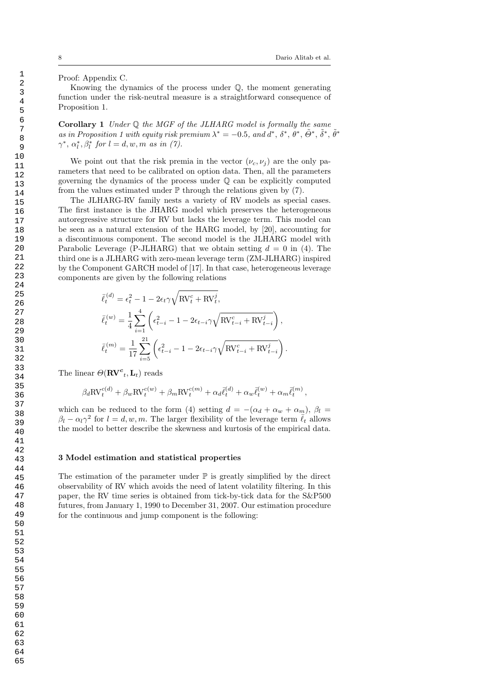Proof: Appendix C.

Knowing the dynamics of the process under Q, the moment generating function under the risk-neutral measure is a straightforward consequence of Proposition 1.

**Corollary 1** Under  $\mathbb Q$  the MGF of the JLHARG model is formally the same as in Proposition 1 with equity risk premium  $\lambda^* = -0.5$ , and  $d^*, \delta^*, \tilde{\theta}^*, \tilde{\theta}^*, \tilde{\theta}^*, \tilde{\theta}^*$  $\gamma^*, \alpha_l^*, \beta_l^*$  for  $l = d, w, m$  as in (7).

We point out that the risk premia in the vector  $(\nu_c, \nu_i)$  are the only parameters that need to be calibrated on option data. Then, all the parameters governing the dynamics of the process under Q can be explicitly computed from the values estimated under  $\mathbb P$  through the relations given by (7).

The JLHARG-RV family nests a variety of RV models as special cases. The first instance is the JHARG model which preserves the heterogeneous autoregressive structure for RV but lacks the leverage term. This model can be seen as a natural extension of the HARG model, by [20], accounting for a discontinuous component. The second model is the JLHARG model with Parabolic Leverage (P-JLHARG) that we obtain setting  $d = 0$  in (4). The third one is a JLHARG with zero-mean leverage term (ZM-JLHARG) inspired by the Component GARCH model of [17]. In that case, heterogeneous leverage components are given by the following relations

$$
\begin{split} \bar{\ell}_t^{(d)} &= \epsilon_t^2 - 1 - 2\epsilon_t \gamma \sqrt{\mathrm{RV}_t^c + \mathrm{RV}_t^j}, \\ \bar{\ell}_t^{(w)} &= \frac{1}{4} \sum_{i=1}^4 \left( \epsilon_{t-i}^2 - 1 - 2\epsilon_{t-i} \gamma \sqrt{\mathrm{RV}_{t-i}^c + \mathrm{RV}_{t-i}^j} \right), \\ \bar{\ell}_t^{(m)} &= \frac{1}{17} \sum_{i=5}^{21} \left( \epsilon_{t-i}^2 - 1 - 2\epsilon_{t-i} \gamma \sqrt{\mathrm{RV}_{t-i}^c + \mathrm{RV}_{t-i}^j} \right). \end{split}
$$

The linear  $\Theta({\bf R}{\bf V}^{\bf c}{}_t,{\bf L}_t)$  reads

$$
\beta_d \text{RV}_t^{c(d)} + \beta_w \text{RV}_t^{c(w)} + \beta_m \text{RV}_t^{c(m)} + \alpha_d \bar{\ell}_t^{(d)} + \alpha_w \bar{\ell}_t^{(w)} + \alpha_m \bar{\ell}_t^{(m)},
$$

which can be reduced to the form (4) setting  $d = -(\alpha_d + \alpha_w + \alpha_m)$ ,  $\beta_l =$  $\beta_l - \alpha_l \gamma^2$  for  $l = d, w, m$ . The larger flexibility of the leverage term  $\bar{\ell}_t$  allows the model to better describe the skewness and kurtosis of the empirical data.

#### 3 Model estimation and statistical properties

The estimation of the parameter under  $\mathbb P$  is greatly simplified by the direct observability of RV which avoids the need of latent volatility filtering. In this paper, the RV time series is obtained from tick-by-tick data for the S&P500 futures, from January 1, 1990 to December 31, 2007. Our estimation procedure for the continuous and jump component is the following: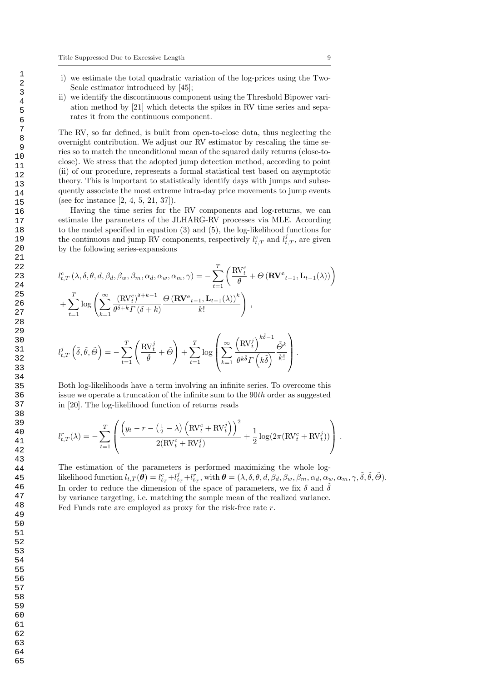- i) we estimate the total quadratic variation of the log-prices using the Two-Scale estimator introduced by [45];
- ii) we identify the discontinuous component using the Threshold Bipower variation method by [21] which detects the spikes in RV time series and separates it from the continuous component.

The RV, so far defined, is built from open-to-close data, thus neglecting the overnight contribution. We adjust our RV estimator by rescaling the time series so to match the unconditional mean of the squared daily returns (close-toclose). We stress that the adopted jump detection method, according to point (ii) of our procedure, represents a formal statistical test based on asymptotic theory. This is important to statistically identify days with jumps and subsequently associate the most extreme intra-day price movements to jump events (see for instance [2, 4, 5, 21, 37]).

Having the time series for the RV components and log-returns, we can estimate the parameters of the JLHARG-RV processes via MLE. According to the model specified in equation (3) and (5), the log-likelihood functions for the continuous and jump RV components, respectively  $l_{t,T}^c$  and  $l_{t,T}^j$ , are given by the following series-expansions

$$
l_{t,T}^{c}(\lambda, \delta, \theta, d, \beta_d, \beta_w, \beta_m, \alpha_d, \alpha_w, \alpha_m, \gamma) = -\sum_{t=1}^{T} \left( \frac{\text{RV}_{t}^{c}}{\theta} + \Theta \left( \mathbf{RV}_{t-1}, \mathbf{L}_{t-1}(\lambda) \right) \right)
$$

$$
+ \sum_{t=1}^{T} \log \left( \sum_{k=1}^{\infty} \frac{(\text{RV}_{t}^{c})^{\delta+k-1}}{\theta^{\delta+k} \Gamma(\delta+k)} \frac{\Theta \left( \mathbf{RV}_{t-1}, \mathbf{L}_{t-1}(\lambda) \right)^{k}}{k!} \right),
$$

$$
+ \sum_{t=1}^{T} \log \left( \sum_{k=1}^{\infty} \frac{(\text{RV}_{t}^{i})^{\delta+k-1}}{\theta^{\delta+k} \Gamma(\delta+k)} \frac{\Theta \left( \mathbf{RV}_{t-1}, \mathbf{L}_{t-1}(\lambda) \right)^{k}}{\delta} \right),
$$

$$
l_{t,T}^{j}\left(\tilde{\delta},\tilde{\theta},\tilde{\Theta}\right)=-\sum_{t=1}^{T}\left(\frac{\mathrm{RV}_{t}^{j}}{\tilde{\theta}}+\tilde{\Theta}\right)+\sum_{t=1}^{T}\log\left(\sum_{k=1}^{\infty}\frac{\left(\mathrm{RV}_{t}^{j}\right)^{\kappa_{0}-1}}{\theta^{\kappa\tilde{\delta}}\Gamma\left(\kappa\tilde{\delta}\right)}\frac{\tilde{\Theta}^k}{k!}\right).
$$

Both log-likelihoods have a term involving an infinite series. To overcome this issue we operate a truncation of the infinite sum to the 90th order as suggested in [20]. The log-likelihood function of returns reads

$$
l_{t,T}^r(\lambda) = -\sum_{t=1}^T \left( \frac{\left( y_t - r - \left( \frac{1}{2} - \lambda \right) \left( \text{RV}_t^c + \text{RV}_t^j \right) \right)^2}{2(\text{RV}_t^c + \text{RV}_t^j)} + \frac{1}{2} \log(2\pi (\text{RV}_t^c + \text{RV}_t^j)) \right).
$$

The estimation of the parameters is performed maximizing the whole loglikelihood function  $l_{t,T}(\tilde{\boldsymbol{\theta}}) = l_{t_T}^c + l_{t_T}^j + l_{t_T}^r$ , with  $\boldsymbol{\theta} = (\lambda, \delta, \theta, d, \beta_d, \beta_w, \beta_m, \alpha_d, \alpha_w, \alpha_m, \gamma, \tilde{\delta}, \tilde{\theta}, \tilde{\Theta})$ . In order to reduce the dimension of the space of parameters, we fix  $\delta$  and  $\delta$ by variance targeting, i.e. matching the sample mean of the realized variance. Fed Funds rate are employed as proxy for the risk-free rate  $r$ .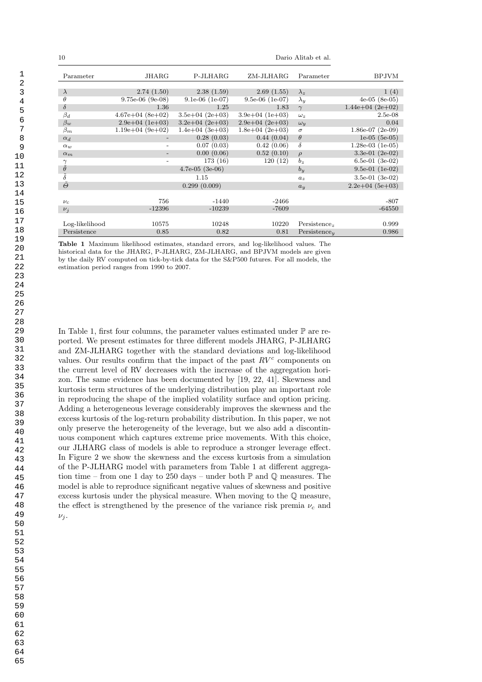| 10                  | Dario Alitab et al. |                   |                   |                          |                      |
|---------------------|---------------------|-------------------|-------------------|--------------------------|----------------------|
| Parameter           | JHARG               | P-JLHARG          | ZM-JLHARG         | Parameter                | <b>BPJVM</b>         |
|                     |                     |                   |                   |                          |                      |
| $\lambda$           | 2.74(1.50)          | 2.38(1.59)        | 2.69(1.55)        | $\lambda_z$              | 1(4)                 |
| $\theta$            | $9.75e-06$ (9e-08)  | $9.1e-06$ (1e-07) | $9.5e-06$ (1e-07) | $\lambda_y$              | $4e-05$ $(8e-05)$    |
| $\delta$            | 1.36                | 1.25              | 1.83              | $\gamma$                 | $1.44e+04$ $(2e+02)$ |
| $\beta_d$           | $4.67e+04(8e+02)$   | $3.5e+04$ (2e+03) | $3.9e+04$ (1e+03) | $\omega_z$               | $2.5e-08$            |
| $\beta_w$           | $2.9e+04$ (1e+03)   | $3.2e+04$ (2e+03) | $2.9e+04(2e+03)$  | $\omega_{y}$             | 0.04                 |
| $\beta_m$           | $1.19e+04(9e+02)$   | $1.4e+04(3e+03)$  | $1.8e+04(2e+03)$  | $\sigma$                 | $1.86e-07$ (2e-09)   |
| $\alpha_d$          |                     | 0.28(0.03)        | 0.44(0.04)        | $\theta$                 | $1e-05$ (5e-05)      |
| $\alpha_w$          |                     | 0.07(0.03)        | 0.42(0.06)        | $\delta$                 | $1.28e-03$ (1e-05)   |
| $\alpha_m$          |                     | 0.00(0.06)        | 0.52(0.10)        | $\rho$                   | 3.3e-01 $(2e-02)$    |
| $\gamma$            |                     | 173 (16)          | 120(12)           | $b_z$                    | 6.5e-01 $(3e-02)$    |
| $\tilde{\theta}$    |                     | $4.7e-05$ (3e-06) |                   | $b_u$                    | $9.5e-01$ (1e-02)    |
| $\tilde{\delta}$    |                     | 1.15              |                   | $a_z$                    | 3.5e-01 $(3e-02)$    |
| $\tilde{\varTheta}$ |                     | 0.299(0.009)      |                   | $a_u$                    | $2.2e+04$ (5e+03)    |
|                     |                     |                   |                   |                          |                      |
| $\nu_c$             | 756                 | $-1440$           | $-2466$           |                          | $-807$               |
| $\nu_i$             | $-12396$            | $-10239$          | $-7609$           |                          | $-64550$             |
|                     |                     |                   |                   |                          |                      |
| Log-likelihood      | 10575               | 10248             | 10220             | Persistence <sub>z</sub> | 0.999                |
| Persistence         | 0.85                | 0.82              | 0.81              | Persistence <sub>u</sub> | 0.986                |

Table 1 Maximum likelihood estimates, standard errors, and log-likelihood values. The historical data for the JHARG, P-JLHARG, ZM-JLHARG, and BPJVM models are given by the daily RV computed on tick-by-tick data for the S&P500 futures. For all models, the estimation period ranges from 1990 to 2007.

In Table 1, first four columns, the parameter values estimated under  $\mathbb P$  are reported. We present estimates for three different models JHARG, P-JLHARG and ZM-JLHARG together with the standard deviations and log-likelihood values. Our results confirm that the impact of the past  $RV<sup>c</sup>$  components on the current level of RV decreases with the increase of the aggregation horizon. The same evidence has been documented by [19, 22, 41]. Skewness and kurtosis term structures of the underlying distribution play an important role in reproducing the shape of the implied volatility surface and option pricing. Adding a heterogeneous leverage considerably improves the skewness and the excess kurtosis of the log-return probability distribution. In this paper, we not only preserve the heterogeneity of the leverage, but we also add a discontinuous component which captures extreme price movements. With this choice, our JLHARG class of models is able to reproduce a stronger leverage effect. In Figure 2 we show the skewness and the excess kurtosis from a simulation of the P-JLHARG model with parameters from Table 1 at different aggregation time – from one 1 day to 250 days – under both  $\mathbb P$  and  $\mathbb Q$  measures. The model is able to reproduce significant negative values of skewness and positive excess kurtosis under the physical measure. When moving to the Q measure, the effect is strengthened by the presence of the variance risk premia  $\nu_c$  and  $\nu_i$ .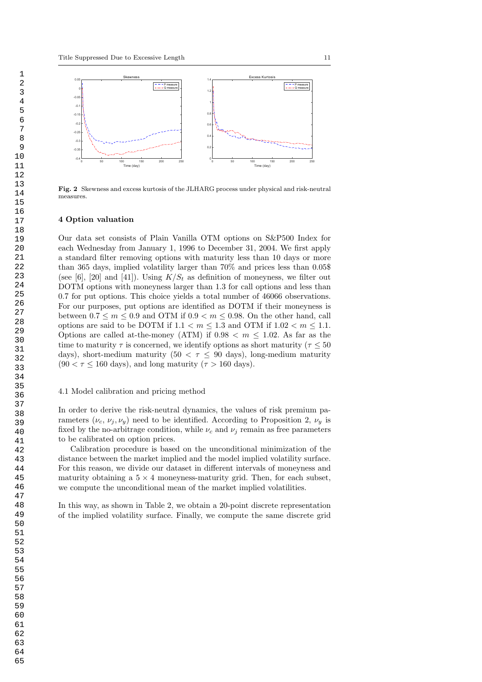

Fig. 2 Skewness and excess kurtosis of the JLHARG process under physical and risk-neutral measures.

#### 4 Option valuation

Our data set consists of Plain Vanilla OTM options on S&P500 Index for each Wednesday from January 1, 1996 to December 31, 2004. We first apply a standard filter removing options with maturity less than 10 days or more than 365 days, implied volatility larger than 70% and prices less than 0.05\$ (see [6], [20] and [41]). Using  $K/S_t$  as definition of moneyness, we filter out DOTM options with moneyness larger than 1.3 for call options and less than 0.7 for put options. This choice yields a total number of 46066 observations. For our purposes, put options are identified as DOTM if their moneyness is between  $0.7 \le m \le 0.9$  and OTM if  $0.9 \le m \le 0.98$ . On the other hand, call options are said to be DOTM if  $1.1 < m < 1.3$  and OTM if  $1.02 < m < 1.1$ . Options are called at-the-money (ATM) if  $0.98 < m \leq 1.02$ . As far as the time to maturity  $\tau$  is concerned, we identify options as short maturity ( $\tau \leq 50$ days), short-medium maturity (50  $\lt \tau \leq 90$  days), long-medium maturity  $(90 < \tau \le 160$  days), and long maturity  $(\tau > 160$  days).

#### 4.1 Model calibration and pricing method

In order to derive the risk-neutral dynamics, the values of risk premium parameters  $(\nu_c, \nu_j, \nu_y)$  need to be identified. According to Proposition 2,  $\nu_y$  is fixed by the no-arbitrage condition, while  $\nu_c$  and  $\nu_i$  remain as free parameters to be calibrated on option prices.

Calibration procedure is based on the unconditional minimization of the distance between the market implied and the model implied volatility surface. For this reason, we divide our dataset in different intervals of moneyness and maturity obtaining a  $5 \times 4$  moneyness-maturity grid. Then, for each subset, we compute the unconditional mean of the market implied volatilities.

In this way, as shown in Table 2, we obtain a 20-point discrete representation of the implied volatility surface. Finally, we compute the same discrete grid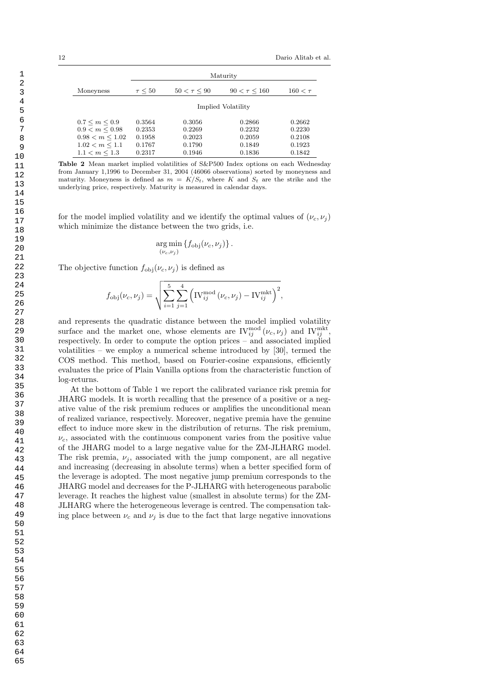|                      | Maturity           |                  |                   |              |  |
|----------------------|--------------------|------------------|-------------------|--------------|--|
| Moneyness            | $\tau \leq 50$     | $50 < \tau < 90$ | $90 < \tau < 160$ | $160 < \tau$ |  |
|                      | Implied Volatility |                  |                   |              |  |
| $0.7 \le m \le 0.9$  | 0.3564             | 0.3056           | 0.2866            | 0.2662       |  |
| $0.9 < m \leq 0.98$  | 0.2353             | 0.2269           | 0.2232            | 0.2230       |  |
| $0.98 < m \leq 1.02$ | 0.1958             | 0.2023           | 0.2059            | 0.2108       |  |
| $1.02 < m \leq 1.1$  | 0.1767             | 0.1790           | 0.1849            | 0.1923       |  |
| $1.1 < m \leq 1.3$   | 0.2317             | 0.1946           | 0.1836            | 0.1842       |  |

Table 2 Mean market implied volatilities of S&P500 Index options on each Wednesday from January 1,1996 to December 31, 2004 (46066 observations) sorted by moneyness and maturity. Moneyness is defined as  $m = K/S_t$ , where K and  $S_t$  are the strike and the underlying price, respectively. Maturity is measured in calendar days.

for the model implied volatility and we identify the optimal values of  $(\nu_c, \nu_i)$ which minimize the distance between the two grids, i.e.

$$
\argmin_{(\nu_c,\nu_j)} \{f_{\text{obj}}(\nu_c,\nu_j)\}.
$$

The objective function  $f_{\text{obj}}(\nu_c, \nu_i)$  is defined as

$$
f_{\text{obj}}(\nu_c, \nu_j) = \sqrt{\sum_{i=1}^{5} \sum_{j=1}^{4} (i_{ij}^{mod} (\nu_c, \nu_j) - i N_{ij}^{mkt})^2},
$$

and represents the quadratic distance between the model implied volatility surface and the market one, whose elements are  $\text{IV}^{\text{mod}}_{ij}(\nu_c, \nu_j)$  and  $\text{IV}^{\text{mkt}}_{ij}$ , respectively. In order to compute the option prices – and associated implied volatilities – we employ a numerical scheme introduced by [30], termed the COS method. This method, based on Fourier-cosine expansions, efficiently evaluates the price of Plain Vanilla options from the characteristic function of log-returns.

At the bottom of Table 1 we report the calibrated variance risk premia for JHARG models. It is worth recalling that the presence of a positive or a negative value of the risk premium reduces or amplifies the unconditional mean of realized variance, respectively. Moreover, negative premia have the genuine effect to induce more skew in the distribution of returns. The risk premium,  $\nu_c$ , associated with the continuous component varies from the positive value of the JHARG model to a large negative value for the ZM-JLHARG model. The risk premia,  $\nu_i$ , associated with the jump component, are all negative and increasing (decreasing in absolute terms) when a better specified form of the leverage is adopted. The most negative jump premium corresponds to the JHARG model and decreases for the P-JLHARG with heterogeneous parabolic leverage. It reaches the highest value (smallest in absolute terms) for the ZM-JLHARG where the heterogeneous leverage is centred. The compensation taking place between  $\nu_c$  and  $\nu_j$  is due to the fact that large negative innovations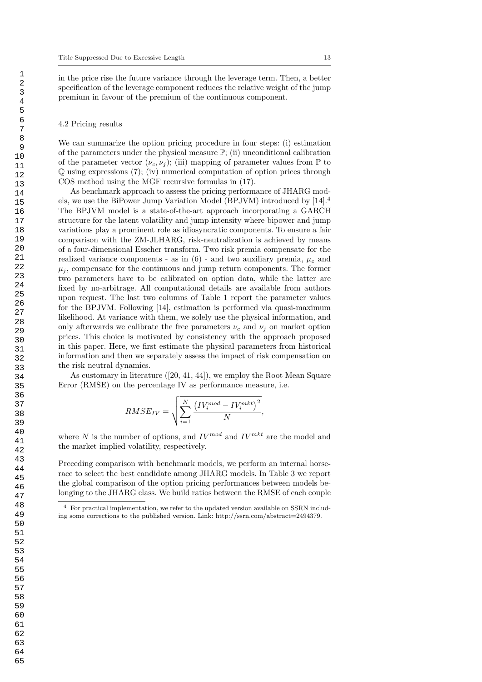in the price rise the future variance through the leverage term. Then, a better specification of the leverage component reduces the relative weight of the jump premium in favour of the premium of the continuous component.

#### 4.2 Pricing results

We can summarize the option pricing procedure in four steps: (i) estimation of the parameters under the physical measure P; (ii) unconditional calibration of the parameter vector  $(\nu_c, \nu_i)$ ; (iii) mapping of parameter values from  $\mathbb P$  to Q using expressions (7); (iv) numerical computation of option prices through COS method using the MGF recursive formulas in (17).

As benchmark approach to assess the pricing performance of JHARG models, we use the BiPower Jump Variation Model (BPJVM) introduced by [14].<sup>4</sup> The BPJVM model is a state-of-the-art approach incorporating a GARCH structure for the latent volatility and jump intensity where bipower and jump variations play a prominent role as idiosyncratic components. To ensure a fair comparison with the ZM-JLHARG, risk-neutralization is achieved by means of a four-dimensional Esscher transform. Two risk premia compensate for the realized variance components - as in  $(6)$  - and two auxiliary premia,  $\mu_c$  and  $\mu_i$ , compensate for the continuous and jump return components. The former two parameters have to be calibrated on option data, while the latter are fixed by no-arbitrage. All computational details are available from authors upon request. The last two columns of Table 1 report the parameter values for the BPJVM. Following [14], estimation is performed via quasi-maximum likelihood. At variance with them, we solely use the physical information, and only afterwards we calibrate the free parameters  $\nu_c$  and  $\nu_j$  on market option prices. This choice is motivated by consistency with the approach proposed in this paper. Here, we first estimate the physical parameters from historical information and then we separately assess the impact of risk compensation on the risk neutral dynamics.

As customary in literature ([20, 41, 44]), we employ the Root Mean Square Error (RMSE) on the percentage IV as performance measure, i.e.

$$
RMSE_{IV}=\sqrt{\sum_{i=1}^{N}\frac{\left(IV_{i}^{mod}-IV_{i}^{mkt}\right)^{2}}{N}},
$$

where N is the number of options, and  $IV^{mod}$  and  $IV^{mkt}$  are the model and the market implied volatility, respectively.

Preceding comparison with benchmark models, we perform an internal horserace to select the best candidate among JHARG models. In Table 3 we report the global comparison of the option pricing performances between models belonging to the JHARG class. We build ratios between the RMSE of each couple

<sup>4</sup> For practical implementation, we refer to the updated version available on SSRN including some corrections to the published version. Link: http://ssrn.com/abstract=2494379.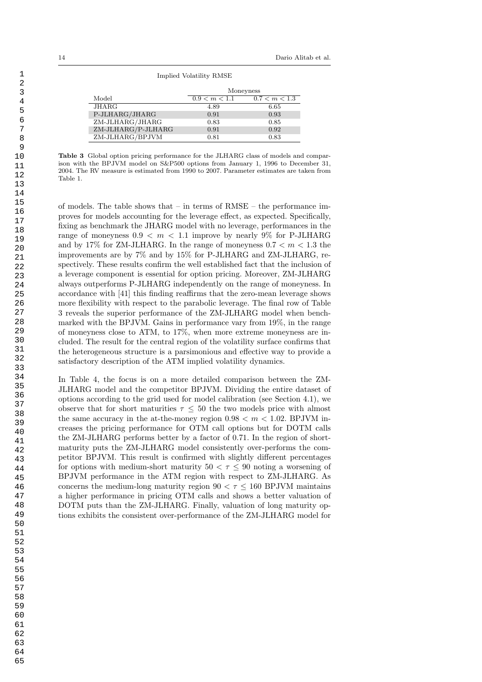#### Implied Volatility RMSE

|                    | Moneyness     |               |  |
|--------------------|---------------|---------------|--|
| Model              | 0.9 < m < 1.1 | 0.7 < m < 1.3 |  |
| JHARG              | 4.89          | 6.65          |  |
| P-JLHARG/JHARG     | 0.91          | 0.93          |  |
| ZM-JLHARG/JHARG    | 0.83          | 0.85          |  |
| ZM-JLHARG/P-JLHARG | 0.91          | 0.92          |  |
| ZM-JLHARG/BPJVM    | 0.81          | 0.83          |  |

Table 3 Global option pricing performance for the JLHARG class of models and comparison with the BPJVM model on S&P500 options from January 1, 1996 to December 31, 2004. The RV measure is estimated from 1990 to 2007. Parameter estimates are taken from Table 1.

of models. The table shows that – in terms of  $RMSE$  – the performance improves for models accounting for the leverage effect, as expected. Specifically, fixing as benchmark the JHARG model with no leverage, performances in the range of moneyness  $0.9 < m < 1.1$  improve by nearly 9% for P-JLHARG and by 17% for ZM-JLHARG. In the range of moneyness  $0.7 < m < 1.3$  the improvements are by 7% and by 15% for P-JLHARG and ZM-JLHARG, respectively. These results confirm the well established fact that the inclusion of a leverage component is essential for option pricing. Moreover, ZM-JLHARG always outperforms P-JLHARG independently on the range of moneyness. In accordance with [41] this finding reaffirms that the zero-mean leverage shows more flexibility with respect to the parabolic leverage. The final row of Table 3 reveals the superior performance of the ZM-JLHARG model when benchmarked with the BPJVM. Gains in performance vary from 19%, in the range of moneyness close to ATM, to 17%, when more extreme moneyness are included. The result for the central region of the volatility surface confirms that the heterogeneous structure is a parsimonious and effective way to provide a satisfactory description of the ATM implied volatility dynamics.

In Table 4, the focus is on a more detailed comparison between the ZM-JLHARG model and the competitor BPJVM. Dividing the entire dataset of options according to the grid used for model calibration (see Section 4.1), we observe that for short maturities  $\tau \leq 50$  the two models price with almost the same accuracy in the at-the-money region  $0.98 < m < 1.02$ . BPJVM increases the pricing performance for OTM call options but for DOTM calls the ZM-JLHARG performs better by a factor of 0.71. In the region of shortmaturity puts the ZM-JLHARG model consistently over-performs the competitor BPJVM. This result is confirmed with slightly different percentages for options with medium-short maturity  $50 < \tau \leq 90$  noting a worsening of BPJVM performance in the ATM region with respect to ZM-JLHARG. As concerns the medium-long maturity region  $90 < \tau \le 160$  BPJVM maintains a higher performance in pricing OTM calls and shows a better valuation of DOTM puts than the ZM-JLHARG. Finally, valuation of long maturity options exhibits the consistent over-performance of the ZM-JLHARG model for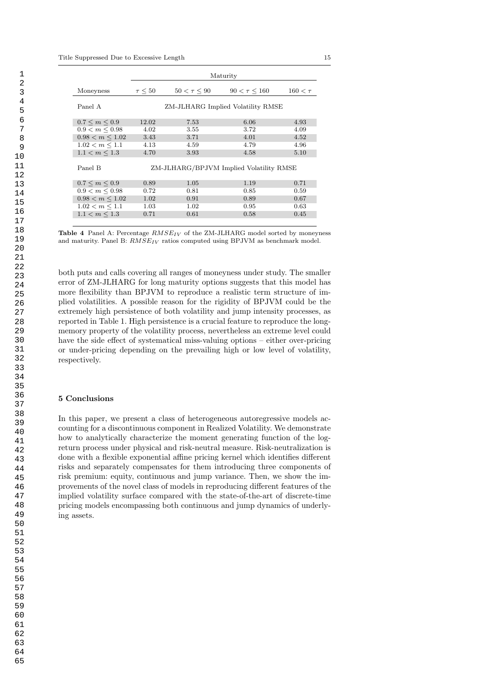|                      | Maturity                                |                  |                   |              |  |
|----------------------|-----------------------------------------|------------------|-------------------|--------------|--|
| Moneyness            | $\tau \leq 50$                          | $50 < \tau < 90$ | $90 < \tau < 160$ | $160 < \tau$ |  |
| Panel A              | ZM-JLHARG Implied Volatility RMSE       |                  |                   |              |  |
| $0.7 \le m \le 0.9$  | 12.02                                   | 7.53             | 6.06              | 4.93         |  |
| $0.9 < m \leq 0.98$  | 4.02                                    | 3.55             | 3.72              | 4.09         |  |
| $0.98 < m \leq 1.02$ | 3.43                                    | 3.71             | 4.01              | 4.52         |  |
| $1.02 < m \leq 1.1$  | 4.13                                    | 4.59             | 4.79              | 4.96         |  |
| $1.1 < m \leq 1.3$   | 4.70                                    | 3.93             | 4.58              | 5.10         |  |
| Panel B              | ZM-JLHARG/BPJVM Implied Volatility RMSE |                  |                   |              |  |
| $0.7 \le m \le 0.9$  | 0.89                                    | 1.05             | 1.19              | 0.71         |  |
| $0.9 < m \leq 0.98$  | 0.72                                    | 0.81             | 0.85              | 0.59         |  |
| $0.98 < m \leq 1.02$ | 1.02                                    | 0.91             | 0.89              | 0.67         |  |
| $1.02 < m \leq 1.1$  | 1.03                                    | 1.02             | 0.95              | 0.63         |  |
| $1.1 < m \leq 1.3$   | 0.71                                    | 0.61             | 0.58              | 0.45         |  |

Table 4 Panel A: Percentage  $RMSE_{IV}$  of the ZM-JLHARG model sorted by moneyness and maturity. Panel B:  $RMSE_{IV}$  ratios computed using BPJVM as benchmark model.

both puts and calls covering all ranges of moneyness under study. The smaller error of ZM-JLHARG for long maturity options suggests that this model has more flexibility than BPJVM to reproduce a realistic term structure of implied volatilities. A possible reason for the rigidity of BPJVM could be the extremely high persistence of both volatility and jump intensity processes, as reported in Table 1. High persistence is a crucial feature to reproduce the longmemory property of the volatility process, nevertheless an extreme level could have the side effect of systematical miss-valuing options – either over-pricing or under-pricing depending on the prevailing high or low level of volatility, respectively.

#### 5 Conclusions

In this paper, we present a class of heterogeneous autoregressive models accounting for a discontinuous component in Realized Volatility. We demonstrate how to analytically characterize the moment generating function of the logreturn process under physical and risk-neutral measure. Risk-neutralization is done with a flexible exponential affine pricing kernel which identifies different risks and separately compensates for them introducing three components of risk premium: equity, continuous and jump variance. Then, we show the improvements of the novel class of models in reproducing different features of the implied volatility surface compared with the state-of-the-art of discrete-time pricing models encompassing both continuous and jump dynamics of underlying assets.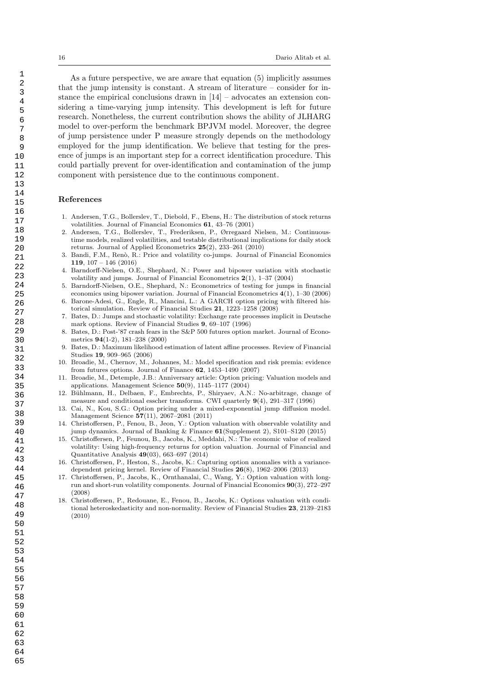As a future perspective, we are aware that equation (5) implicitly assumes that the jump intensity is constant. A stream of literature – consider for instance the empirical conclusions drawn in  $[14]$  – advocates an extension considering a time-varying jump intensity. This development is left for future research. Nonetheless, the current contribution shows the ability of JLHARG model to over-perform the benchmark BPJVM model. Moreover, the degree of jump persistence under P measure strongly depends on the methodology employed for the jump identification. We believe that testing for the presence of jumps is an important step for a correct identification procedure. This could partially prevent for over-identification and contamination of the jump component with persistence due to the continuous component.

#### References

- 1. Andersen, T.G., Bollerslev, T., Diebold, F., Ebens, H.: The distribution of stock returns volatilities. Journal of Financial Economics 61, 43–76 (2001)
- 2. Andersen, T.G., Bollerslev, T., Frederiksen, P., Ørregaard Nielsen, M.: Continuoustime models, realized volatilities, and testable distributional implications for daily stock returns. Journal of Applied Econometrics 25(2), 233–261 (2010)
- 3. Bandi, F.M., Renò, R.: Price and volatility co-jumps. Journal of Financial Economics 119, 107 – 146 (2016)
- 4. Barndorff-Nielsen, O.E., Shephard, N.: Power and bipower variation with stochastic volatility and jumps. Journal of Financial Econometrics  $2(1)$ , 1–37 (2004)
- 5. Barndorff-Nielsen, O.E., Shephard, N.: Econometrics of testing for jumps in financial economics using bipower variation. Journal of Financial Econometrics 4(1), 1–30 (2006)
- 6. Barone-Adesi, G., Engle, R., Mancini, L.: A GARCH option pricing with filtered historical simulation. Review of Financial Studies 21, 1223–1258 (2008)
- 7. Bates, D.: Jumps and stochastic volatility: Exchange rate processes implicit in Deutsche mark options. Review of Financial Studies 9, 69–107 (1996)
- 8. Bates, D.: Post-'87 crash fears in the S&P 500 futures option market. Journal of Econometrics 94(1-2), 181–238 (2000)
- 9. Bates, D.: Maximum likelihood estimation of latent affine processes. Review of Financial Studies 19, 909–965 (2006)
- 10. Broadie, M., Chernov, M., Johannes, M.: Model specification and risk premia: evidence from futures options. Journal of Finance 62, 1453–1490 (2007)
- 11. Broadie, M., Detemple, J.B.: Anniversary article: Option pricing: Valuation models and applications. Management Science  $50(9)$ , 1145-1177 (2004)
- 12. Bühlmann, H., Delbaen, F., Embrechts, P., Shiryaev, A.N.: No-arbitrage, change of measure and conditional esscher transforms. CWI quarterly 9(4), 291–317 (1996)
- 13. Cai, N., Kou, S.G.: Option pricing under a mixed-exponential jump diffusion model. Management Science 57(11), 2067–2081 (2011)
- 14. Christoffersen, P., Fenou, B., Jeon, Y.: Option valuation with observable volatility and jump dynamics. Journal of Banking & Finance 61(Supplement 2), S101–S120 (2015)
- 15. Christoffersen, P., Feunou, B., Jacobs, K., Meddahi, N.: The economic value of realized volatility: Using high-frequency returns for option valuation. Journal of Financial and Quantitative Analysis 49(03), 663–697 (2014)
- 16. Christoffersen, P., Heston, S., Jacobs, K.: Capturing option anomalies with a variancedependent pricing kernel. Review of Financial Studies 26(8), 1962–2006 (2013)
- 17. Christoffersen, P., Jacobs, K., Ornthanalai, C., Wang, Y.: Option valuation with longrun and short-run volatility components. Journal of Financial Economics 90(3), 272–297 (2008)
- 18. Christoffersen, P., Redouane, E., Fenou, B., Jacobs, K.: Options valuation with conditional heteroskedasticity and non-normality. Review of Financial Studies 23, 2139–2183 (2010)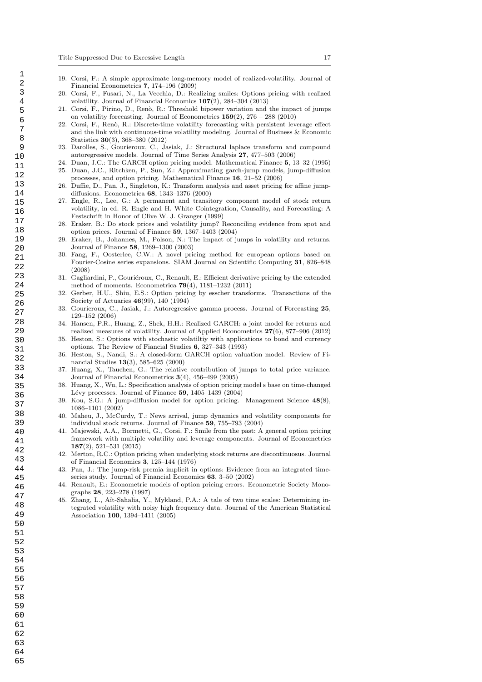- 19. Corsi, F.: A simple approximate long-memory model of realized-volatility. Journal of Financial Econometrics 7, 174–196 (2009)
- 20. Corsi, F., Fusari, N., La Vecchia, D.: Realizing smiles: Options pricing with realized volatility. Journal of Financial Economics 107(2), 284–304 (2013)
- 21. Corsi, F., Pirino, D., Ren`o, R.: Threshold bipower variation and the impact of jumps on volatility forecasting. Journal of Econometrics  $159(2)$ ,  $276 - 288$  (2010)
- 22. Corsi, F., Ren`o, R.: Discrete-time volatility forecasting with persistent leverage effect and the link with continuous-time volatility modeling. Journal of Business & Economic Statistics 30(3), 368–380 (2012)
- 23. Darolles, S., Gourieroux, C., Jasiak, J.: Structural laplace transform and compound autoregressive models. Journal of Time Series Analysis 27, 477–503 (2006)
- 24. Duan, J.C.: The GARCH option pricing model. Mathematical Finance 5, 13–32 (1995) 25. Duan, J.C., Ritchken, P., Sun, Z.: Approximating garch-jump models, jump-diffusion processes, and option pricing. Mathematical Finance 16, 21–52 (2006)
- 26. Duffie, D., Pan, J., Singleton, K.: Transform analysis and asset pricing for affine jumpdiffusions. Econometrica 68, 1343–1376 (2000)
- 27. Engle, R., Lee, G.: A permanent and transitory component model of stock return volatility, in ed. R. Engle and H. White Cointegration, Causality, and Forecasting: A Festschrift in Honor of Clive W. J. Granger (1999)
- 28. Eraker, B.: Do stock prices and volatility jump? Reconciling evidence from spot and option prices. Journal of Finance 59, 1367–1403 (2004)
- 29. Eraker, B., Johannes, M., Polson, N.: The impact of jumps in volatility and returns. Journal of Finance 58, 1269–1300 (2003)
- 30. Fang, F., Oosterlee, C.W.: A novel pricing method for european options based on Fourier-Cosine series expansions. SIAM Journal on Scientific Computing 31, 826–848 (2008)
- 31. Gagliardini, P., Gouriéroux, C., Renault, E.: Efficient derivative pricing by the extended method of moments. Econometrica 79(4), 1181–1232 (2011)
- 32. Gerber, H.U., Shiu, E.S.: Option pricing by esscher transforms. Transactions of the Society of Actuaries 46(99), 140 (1994)
- 33. Gourieroux, C., Jasiak, J.: Autoregressive gamma process. Journal of Forecasting 25, 129–152 (2006)
- 34. Hansen, P.R., Huang, Z., Shek, H.H.: Realized GARCH: a joint model for returns and realized measures of volatility. Journal of Applied Econometrics 27(6), 877–906 (2012)
- 35. Heston, S.: Options with stochastic volatiltiy with applications to bond and currency options. The Review of Fiancial Studies 6, 327–343 (1993)
- 36. Heston, S., Nandi, S.: A closed-form GARCH option valuation model. Review of Financial Studies 13(3), 585–625 (2000)
- 37. Huang, X., Tauchen, G.: The relative contribution of jumps to total price variance. Journal of Financial Econometrics 3(4), 456–499 (2005)
- 38. Huang, X., Wu, L.: Specification analysis of option pricing model s base on time-changed Lévy processes. Journal of Finance  $59$ , 1405–1439 (2004)
- 39. Kou, S.G.: A jump-diffusion model for option pricing. Management Science 48(8), 1086–1101 (2002)
- Maheu, J., McCurdy, T.: News arrival, jump dynamics and volatility components for individual stock returns. Journal of Finance 59, 755–793 (2004)
- 41. Majewski, A.A., Bormetti, G., Corsi, F.: Smile from the past: A general option pricing framework with multiple volatility and leverage components. Journal of Econometrics 187(2), 521–531 (2015)
- 42. Merton, R.C.: Option pricing when underlying stock returns are discontinuosus. Journal of Financial Economics 3, 125–144 (1976)
- 43. Pan, J.: The jump-risk premia implicit in options: Evidence from an integrated timeseries study. Journal of Financial Economics 63, 3–50 (2002)
- 44. Renault, E.: Econometric models of option pricing errors. Econometric Society Monographs 28, 223–278 (1997)
- 45. Zhang, L., Aït-Sahalia, Y., Mykland, P.A.: A tale of two time scales: Determining integrated volatility with noisy high frequency data. Journal of the American Statistical Association 100, 1394–1411 (2005)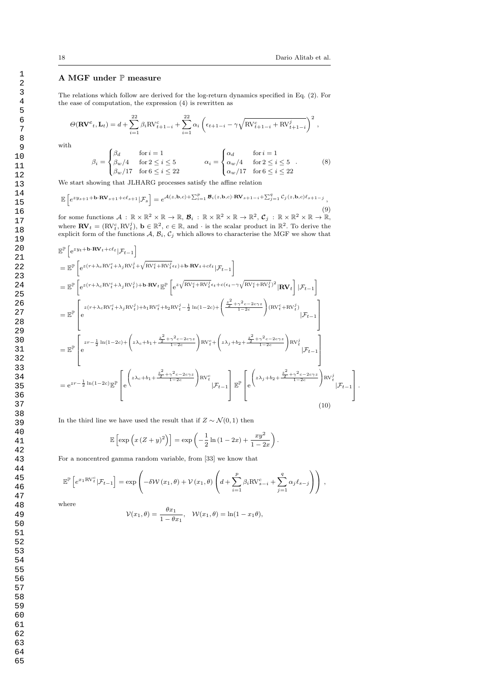#### A MGF under P measure

The relations which follow are derived for the log-return dynamics specified in Eq. (2). For the ease of computation, the expression (4) is rewritten as

$$
\Theta(\mathbf{R}\mathbf{V}^c{}_t, \mathbf{L}_t) = d + \sum_{i=1}^{22} \beta_i \text{RV}_{t+1-i}^c + \sum_{i=1}^{22} \alpha_i \left( \epsilon_{t+1-i} - \gamma \sqrt{\text{RV}_{t+1-i}^c + \text{RV}_{t+1-i}^j} \right)^2,
$$

with

$$
\beta_i = \begin{cases}\n\beta_d & \text{for } i = 1 \\
\beta_w/4 & \text{for } 2 \le i \le 5 \\
\beta_w/17 & \text{for } 6 \le i \le 22\n\end{cases}\n\qquad\n\alpha_i = \begin{cases}\n\alpha_d & \text{for } i = 1 \\
\alpha_w/4 & \text{for } 2 \le i \le 5 \\
\alpha_w/17 & \text{for } 6 \le i \le 22\n\end{cases}.
$$
\n(8)

We start showing that JLHARG processes satisfy the affine relation

$$
\mathbb{E}\left[e^{zy_{s+1}+\mathbf{b}\cdot\mathbf{R}\mathbf{V}_{s+1}+c\ell_{s+1}}|\mathcal{F}_s\right]=e^{\mathcal{A}(z,\mathbf{b},c)+\sum_{i=1}^p\mathcal{B}_i(z,\mathbf{b},c)\cdot\mathbf{R}\mathbf{V}_{s+1-i}+\sum_{j=1}^q\mathcal{C}_j(z,\mathbf{b},c)\ell_{s+1-j}},\tag{0}
$$

for some functions  $\mathcal{A} : \mathbb{R} \times \mathbb{R}^2 \times \mathbb{R} \to \mathbb{R}, \mathcal{B}_i : \mathbb{R} \times \mathbb{R}^2 \times \mathbb{R} \to \mathbb{R}^2, \mathcal{C}_j : \mathbb{R} \times \mathbb{R}^2 \times \mathbb{R} \to \mathbb{R},$ where  $\mathbf{RV}_t = (\mathrm{RV}_t^c, \mathrm{RV}_t^j), \mathbf{b} \in \mathbb{R}^2, c \in \mathbb{R}$ , and  $\cdot$  is the scalar product in  $\mathbb{R}^2$ . To derive the explicit form of the functions  $A, B_i, C_j$  which allows to characterise the MGF we show that

$$
\mathbb{E}^{\mathbb{P}}\left[e^{zy_t + \mathbf{b}\cdot\mathbf{R}\mathbf{V}_t + c\ell_t}|\mathcal{F}_{t-1}\right]
$$
\n
$$
= \mathbb{E}^{\mathbb{P}}\left[e^{z(r + \lambda_c \mathbf{R}\mathbf{V}_t^c + \lambda_j \mathbf{R}\mathbf{V}_t^j + \sqrt{\mathbf{R}\mathbf{V}_t^c + \mathbf{R}\mathbf{V}_t^j}\epsilon_t)\right] + \mathbf{b}\cdot\mathbf{R}\mathbf{V}_t + c\ell_t}|\mathcal{F}_{t-1}\right]
$$
\n
$$
= \mathbb{E}^{\mathbb{P}}\left[e^{z(r + \lambda_c \mathbf{R}\mathbf{V}_t^c + \lambda_j \mathbf{R}\mathbf{V}_t^j)\right] + \mathbf{b}\cdot\mathbf{R}\mathbf{V}_t}\mathbb{E}^{\mathbb{P}}\left[e^{z\sqrt{\mathbf{R}\mathbf{V}_t^c + \mathbf{R}\mathbf{V}_t^j}\epsilon_t + c(\epsilon_t - \gamma\sqrt{\mathbf{R}\mathbf{V}_t^c + \mathbf{R}\mathbf{V}_t^j)^2}|\mathbf{R}\mathbf{V}_t|\right]|\mathcal{F}_{t-1}\right]
$$
\n
$$
= \mathbb{E}^{\mathbb{P}}\left[e^{z(r + \lambda_c \mathbf{R}\mathbf{V}_t^c + \lambda_j \mathbf{R}\mathbf{V}_t^j) + \mathbf{b}_1 \mathbf{R}\mathbf{V}_t^c + \mathbf{b}_2 \mathbf{R}\mathbf{V}_t^j - \frac{1}{2}\ln(1 - 2c) + \left(\frac{\frac{2}{2} + \gamma^2 c - 2c\gamma^z}{1 - 2c}\right)(\mathbf{R}\mathbf{V}_t^c + \mathbf{R}\mathbf{V}_t^j)\right]|\mathcal{F}_{t-1}\right]
$$
\n
$$
= \mathbb{E}^{\mathbb{P}}\left[e^{zr - \frac{1}{2}\ln(1 - 2c) + \left(z\lambda_c + b_1 + \frac{\frac{2}{2} + \gamma^2 c - 2c\gamma z}{1 - 2c}\right)\mathbf{R}\mathbf{V}_t^c + \left(z\lambda_j + b_2 + \frac{\frac{2}{2} + \gamma^2 c - 2c\gamma z}{1 - 2c}\right)\mathbf{R
$$

In the third line we have used the result that if  $Z \sim \mathcal{N}(0, 1)$  then

$$
\mathbb{E}\left[\exp\left(x\left(Z+y\right)^2\right)\right] = \exp\left(-\frac{1}{2}\ln\left(1-2x\right) + \frac{xy^2}{1-2x}\right).
$$

For a noncentred gamma random variable, from [33] we know that

$$
\mathbb{E}^{\mathbb{P}}\left[e^{x_1 \text{RV}_t^c}|\mathcal{F}_{t-1}\right] = \exp\left(-\delta \mathcal{W}(x_1,\theta) + \mathcal{V}(x_1,\theta)\left(d + \sum_{i=1}^p \beta_i \text{RV}_{s-i}^c + \sum_{j=1}^q \alpha_j \ell_{s-j}\right)\right),\,
$$

where

$$
\mathcal{V}(x_1,\theta) = \frac{\theta x_1}{1 - \theta x_1}, \quad \mathcal{W}(x_1,\theta) = \ln(1 - x_1\theta),
$$

1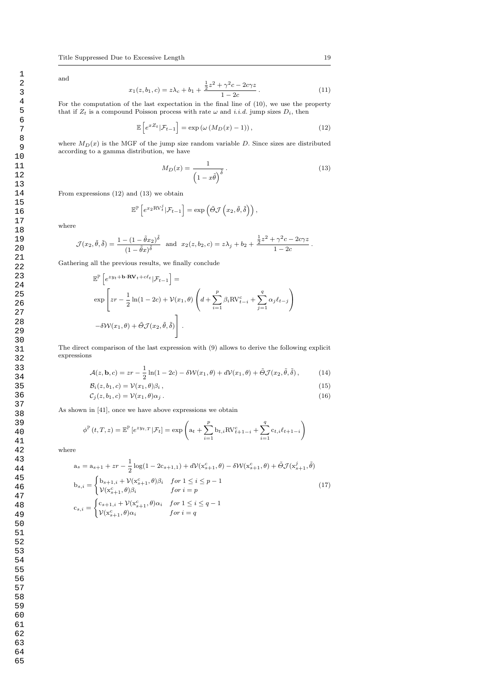and

$$
x_1(z, b_1, c) = z\lambda_c + b_1 + \frac{\frac{1}{2}z^2 + \gamma^2 c - 2c\gamma z}{1 - 2c}.
$$
 (11)

For the computation of the last expectation in the final line of (10), we use the property that if  $Z_t$  is a compound Poisson process with rate  $\omega$  and i.i.d. jump sizes  $D_i$ , then

$$
\mathbb{E}\left[e^{xZ_t}|\mathcal{F}_{t-1}\right] = \exp\left(\omega\left(M_D(x) - 1\right)\right),\tag{12}
$$

where  $M_D(x)$  is the MGF of the jump size random variable D. Since sizes are distributed according to a gamma distribution, we have

$$
M_D(x) = \frac{1}{\left(1 - x\tilde{\theta}\right)^{\tilde{\delta}}}.
$$
\n(13)

From expressions (12) and (13) we obtain

$$
\mathbb{E}^{\mathbb{P}}\left[e^{x_2 \text{RV}^j_t}|\mathcal{F}_{t-1}\right] = \exp\left(\tilde{\Theta} \mathcal{J}\left(x_2, \tilde{\theta}, \tilde{\delta}\right)\right),\,
$$

where

$$
\mathcal{J}(x_2, \tilde{\theta}, \tilde{\delta}) = \frac{1 - (1 - \tilde{\theta}x_2)^{\tilde{\delta}}}{(1 - \tilde{\theta}x)^{\tilde{\delta}}} \text{ and } x_2(z, b_2, c) = z\lambda_j + b_2 + \frac{\frac{1}{2}z^2 + \gamma^2 c - 2c\gamma z}{1 - 2c}.
$$

Gathering all the previous results, we finally conclude

$$
\mathbb{E}^{\mathbb{P}}\left[e^{zy_t + \mathbf{b}\cdot\mathbf{R}\mathbf{V}_t + c\ell_t}|\mathcal{F}_{t-1}\right] =
$$
\n
$$
\exp\left[zr - \frac{1}{2}\ln(1 - 2c) + \mathcal{V}(x_1, \theta)\left(d + \sum_{i=1}^p \beta_i \mathbf{R}\mathbf{V}_{t-i}^c + \sum_{j=1}^q \alpha_j \ell_{t-j}\right)\right]
$$
\n
$$
-\delta\mathcal{W}(x_1, \theta) + \tilde{\Theta}\mathcal{J}(x_2, \tilde{\theta}, \tilde{\delta})\right].
$$

The direct comparison of the last expression with (9) allows to derive the following explicit expressions

$$
\mathcal{A}(z,\mathbf{b},c) = zr - \frac{1}{2}\ln(1-2c) - \delta \mathcal{W}(x_1,\theta) + d\mathcal{V}(x_1,\theta) + \tilde{\Theta}\mathcal{J}(x_2,\tilde{\theta},\tilde{\delta}),\tag{14}
$$

$$
\mathcal{B}_i(z, b_1, c) = \mathcal{V}(x_1, \theta)\beta_i, \qquad (15)
$$

$$
\mathcal{C}_j(z, b_1, c) = \mathcal{V}(x_1, \theta) \alpha_j \,. \tag{16}
$$

As shown in [41], once we have above expressions we obtain

$$
\phi^{\mathbb{P}}(t,T,z) = \mathbb{E}^{\mathbb{P}}\left[e^{zy_{t,T}}|\mathcal{F}_{t}\right] = \exp\left(\mathbf{a}_{t} + \sum_{i=1}^{p} \mathbf{b}_{t,i} \mathbf{R} \mathbf{V}_{t+1-i}^{c} + \sum_{i=1}^{q} \mathbf{c}_{t,i} \ell_{t+1-i}\right)
$$

where

$$
a_{s} = a_{s+1} + zr - \frac{1}{2}\log(1 - 2c_{s+1,1}) + dV(x_{s+1}^{c}, \theta) - \delta W(x_{s+1}^{c}, \theta) + \tilde{\Theta}J(x_{s+1}^{j}, \tilde{\theta})
$$
  
\n
$$
b_{s,i} = \begin{cases} b_{s+1,i} + V(x_{s+1}^{c}, \theta)\beta_{i} & \text{for } 1 \leq i \leq p-1 \\ V(x_{s+1}^{c}, \theta)\beta_{i} & \text{for } i = p \end{cases}
$$
  
\n
$$
c_{s,i} = \begin{cases} c_{s+1,i} + V(x_{s+1}^{c}, \theta)\alpha_{i} & \text{for } 1 \leq i \leq q-1 \\ V(x_{s+1}^{c}, \theta)\alpha_{i} & \text{for } i = q \end{cases}
$$
  
\n(17)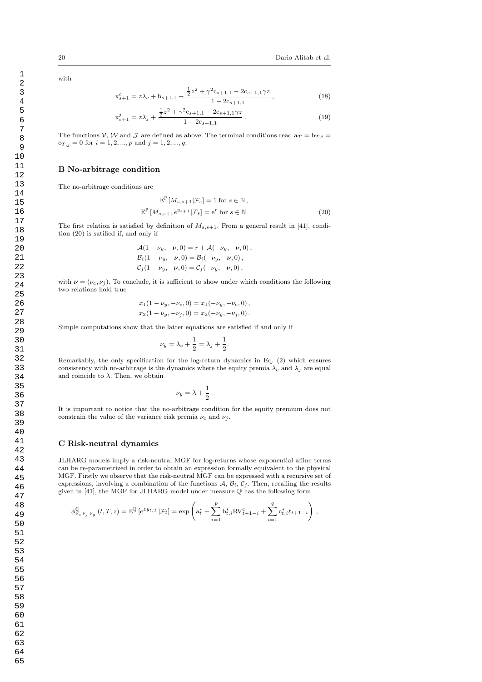with

$$
x_{s+1}^c = z\lambda_c + b_{s+1,1} + \frac{\frac{1}{2}z^2 + \gamma^2 c_{s+1,1} - 2c_{s+1,1}\gamma z}{1 - 2c_{s+1,1}},
$$
\n(18)

$$
x_{s+1}^j = z\lambda_j + \frac{\frac{1}{2}z^2 + \gamma^2 c_{s+1,1} - 2c_{s+1,1}\gamma z}{1 - 2c_{s+1,1}}.
$$
\n(19)

The functions V, W and J are defined as above. The terminal conditions read  $a_T = b_{T,i}$  $c_{T, j} = 0$  for  $i = 1, 2, ..., p$  and  $j = 1, 2, ..., q$ .

#### B No-arbitrage condition

The no-arbitrage conditions are

$$
\mathbb{E}^{\mathbb{P}}\left[M_{s,s+1}|\mathcal{F}_s\right] = 1 \text{ for } s \in \mathbb{N},
$$
  

$$
\mathbb{E}^{\mathbb{P}}\left[M_{s,s+1}e^{y_{s+1}}|\mathcal{F}_s\right] = e^r \text{ for } s \in \mathbb{N}.
$$
 (20)

The first relation is satisfied by definition of  $M_{s,s+1}$ . From a general result in [41], condition (20) is satified if, and only if

$$
\mathcal{A}(1 - \nu_y, -\nu, 0) = r + \mathcal{A}(-\nu_y, -\nu, 0), \n\mathcal{B}_i(1 - \nu_y, -\nu, 0) = \mathcal{B}_i(-\nu_y, -\nu, 0), \n\mathcal{C}_j(1 - \nu_y, -\nu, 0) = \mathcal{C}_j(-\nu_y, -\nu, 0),
$$

with  $\nu = (\nu_c, \nu_i)$ . To conclude, it is sufficient to show under which conditions the following two relations hold true

$$
x_1(1 - \nu_y, -\nu_c, 0) = x_1(-\nu_y, -\nu_c, 0),
$$
  

$$
x_2(1 - \nu_y, -\nu_j, 0) = x_2(-\nu_y, -\nu_j, 0).
$$

Simple computations show that the latter equations are satisfied if and only if

$$
\nu_y = \lambda_c + \frac{1}{2} = \lambda_j + \frac{1}{2}.
$$

Remarkably, the only specification for the log-return dynamics in Eq. (2) which ensures consistency with no-arbitrage is the dynamics where the equity premia  $\lambda_c$  and  $\lambda_j$  are equal and coincide to  $\lambda.$  Then, we obtain

$$
\nu_y = \lambda + \frac{1}{2} \, .
$$

It is important to notice that the no-arbitrage condition for the equity premium does not constrain the value of the variance risk premia  $\nu_c$  and  $\nu_j$ .

#### C Risk-neutral dynamics

JLHARG models imply a risk-neutral MGF for log-returns whose exponential affine terms can be re-parametrized in order to obtain an expression formally equivalent to the physical MGF. Firstly we observe that the risk-neutral MGF can be expressed with a recursive set of expressions, involving a combination of the functions  $A, B_i, C_j$ . Then, recalling the results given in [41], the MGF for JLHARG model under measure Q has the following form

$$
\phi_{\nu_c\; \nu_j\; \nu_y}^{\mathbb{Q}}\left(t,T,z\right)=\mathbb{E}^{\mathbb{Q}}\left[e^{zy_t,T}\left|\mathcal{F}_t\right.\right]=\exp\left(\mathbf{a}_t^*+\sum_{i=1}^{p}\mathbf{b}_{t,i}^*\mathbf{R}\mathbf{V}_{t+1-i}^c+\sum_{i=1}^{q}\mathbf{c}_{t,i}^*\ell_{t+1-i}\right)\,,
$$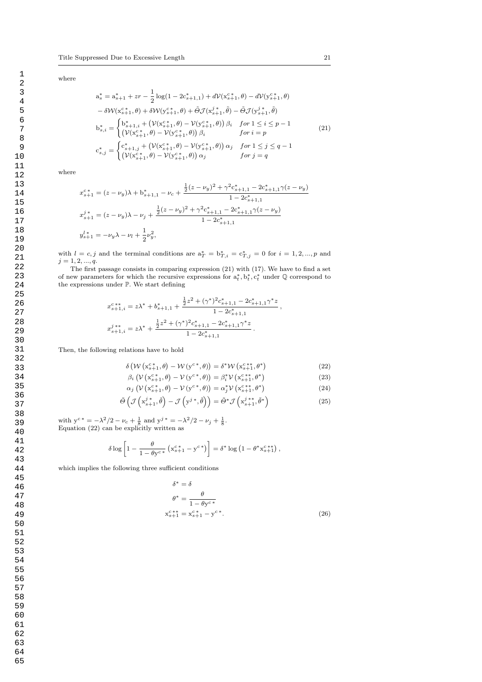where

$$
a_s^* = a_{s+1}^* + zr - \frac{1}{2}\log(1 - 2c_{s+1,1}^*) + d\mathcal{V}(x_{s+1}^{c*}, \theta) - d\mathcal{V}(y_{s+1}^{c*}, \theta)
$$
  
\n
$$
- \delta \mathcal{W}(x_{s+1}^{c*}, \theta) + \delta \mathcal{W}(y_{s+1}^{c*}, \theta) + \tilde{\Theta} \mathcal{J}(x_{s+1}^{j*}, \tilde{\theta}) - \tilde{\Theta} \mathcal{J}(y_{s+1}^{j*}, \tilde{\theta})
$$
  
\n
$$
b_{s,i}^* = \begin{cases} b_{s+1,i}^* + (\mathcal{V}(x_{s+1}^{c*}, \theta) - \mathcal{V}(y_{s+1}^{c*}, \theta)) \beta_i & \text{for } 1 \le i \le p - 1 \\ (\mathcal{V}(x_{s+1}^{c*}, \theta) - \mathcal{V}(y_{s+1}^{c*}, \theta)) \beta_i & \text{for } i = p \end{cases}
$$
  
\n
$$
c_{s,j}^* = \begin{cases} c_{s+1,j}^* + (\mathcal{V}(x_{s+1}^{c*}, \theta) - \mathcal{V}(y_{s+1}^{c*}, \theta)) \alpha_j & \text{for } 1 \le j \le q - 1 \\ (\mathcal{V}(x_{s+1}^{c*}, \theta) - \mathcal{V}(y_{s+1}^{c*}, \theta)) \alpha_j & \text{for } j = q \end{cases}
$$
  
\n(21)

where

$$
x_{s+1}^{c*} = (z - \nu_y)\lambda + b_{s+1,1}^* - \nu_c + \frac{\frac{1}{2}(z - \nu_y)^2 + \gamma^2 c_{s+1,1}^* - 2c_{s+1,1}^* \gamma(z - \nu_y)}{1 - 2c_{s+1,1}^*}
$$
  

$$
x_{s+1}^{j*} = (z - \nu_y)\lambda - \nu_j + \frac{\frac{1}{2}(z - \nu_y)^2 + \gamma^2 c_{s+1,1}^* - 2c_{s+1,1}^* \gamma(z - \nu_y)}{1 - 2c_{s+1,1}^*}
$$
  

$$
y_{s+1}^{l*} = -\nu_y\lambda - \nu_l + \frac{1}{2}\nu_y^2,
$$

with  $l = c, j$  and the terminal conditions are  $a_T^* = b_{T,i}^* = c_{T,j}^* = 0$  for  $i = 1, 2, ..., p$  and  $j = 1, 2, ..., q.$ 

The first passage consists in comparing expression (21) with (17). We have to find a set of new parameters for which the recursive expressions for  $a_t^*, b_t^*, c_t^*$  under  $\mathbb Q$  correspond to the expressions under P. We start defining

$$
\begin{split} x_{s+1,i}^{c\,*\,*} &= z \lambda^* + b_{s+1,1}^* + \frac{\tfrac{1}{2} z^2 + (\gamma^*)^2 c_{s+1,1}^* - 2 c_{s+1,1}^* \gamma^* z}{1 - 2 c_{s+1,1}^*} \,, \\ x_{s+1,i}^{j\,*\,*} &= z \lambda^* + \frac{\tfrac{1}{2} z^2 + (\gamma^*)^2 c_{s+1,1}^* - 2 c_{s+1,1}^* \gamma^* z}{1 - 2 c_{s+1,1}^*} \,. \end{split}
$$

Then, the following relations have to hold

$$
\delta\left(\mathcal{W}\left(\mathbf{x}_{s+1}^{c*},\theta\right)-\mathcal{W}\left(\mathbf{y}^{c*},\theta\right)\right)=\delta^*\mathcal{W}\left(\mathbf{x}_{s+1}^{c**},\theta^*\right) \tag{22}
$$

$$
\beta_i \left( \mathcal{V} \left( \mathbf{x}_{s+1}^{c*}, \theta \right) - \mathcal{V} \left( \mathbf{y}^{c*}, \theta \right) \right) = \beta_i^* \mathcal{V} \left( \mathbf{x}_{s+1}^{c**}, \theta^* \right) \tag{23}
$$

$$
\alpha_j \left( \mathcal{V} \left( \mathbf{x}_{s+1}^{c*}, \theta \right) - \mathcal{V} \left( \mathbf{y}^{c*}, \theta \right) \right) = \alpha_j^* \mathcal{V} \left( \mathbf{x}_{s+1}^{c**}, \theta^* \right) \tag{24}
$$

$$
\tilde{\Theta}\left(\mathcal{J}\left(\mathbf{x}_{s+1}^{j*},\tilde{\theta}\right)-\mathcal{J}\left(\mathbf{y}^{j*},\tilde{\theta}\right)\right)=\tilde{\Theta}^{*}\mathcal{J}\left(\mathbf{x}_{s+1}^{j**},\tilde{\theta}^{*}\right)
$$
\n(25)

with  $y^{c*} = -\lambda^2/2 - \nu_c + \frac{1}{8}$  and  $y^{j*} = -\lambda^2/2 - \nu_j + \frac{1}{8}$ . Equation (22) can be explicitly written as

$$
\delta \log \left[1 - \frac{\theta}{1 - \theta y^{c*}} \left(x_{s+1}^{c*} - y^{c*}\right)\right] = \delta^* \log \left(1 - \theta^* x_{s+1}^{c**}\right),\,
$$

which implies the following three sufficient conditions

$$
\delta^* = \delta
$$
  
\n
$$
\theta^* = \frac{\theta}{1 - \theta y^{c*}}
$$
  
\n
$$
x_{s+1}^{c**} = x_{s+1}^{c*} - y^{c*}.
$$
\n(26)